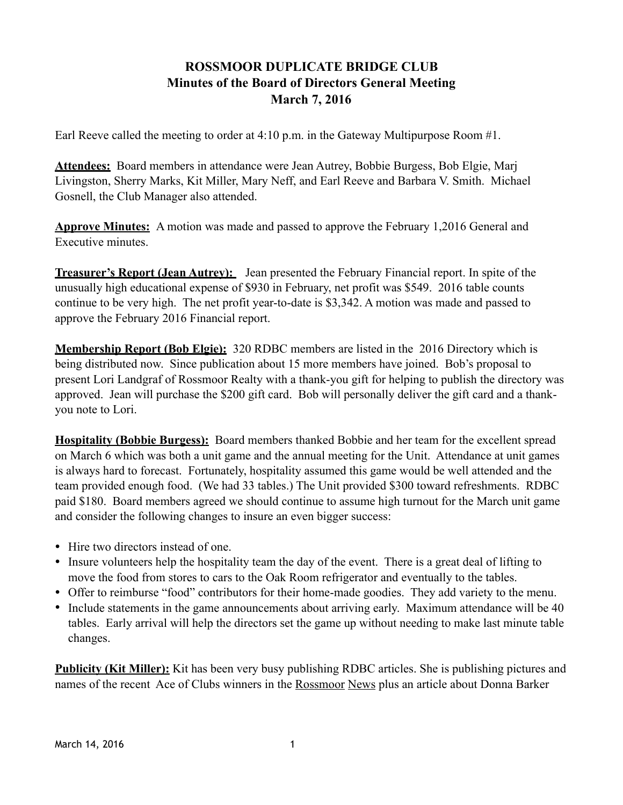## **ROSSMOOR DUPLICATE BRIDGE CLUB Minutes of the Board of Directors General Meeting March 7, 2016**

Earl Reeve called the meeting to order at 4:10 p.m. in the Gateway Multipurpose Room #1.

**Attendees:** Board members in attendance were Jean Autrey, Bobbie Burgess, Bob Elgie, Marj Livingston, Sherry Marks, Kit Miller, Mary Neff, and Earl Reeve and Barbara V. Smith. Michael Gosnell, the Club Manager also attended.

**Approve Minutes:** A motion was made and passed to approve the February 1,2016 General and Executive minutes.

**Treasurer's Report (Jean Autrey):** Jean presented the February Financial report. In spite of the unusually high educational expense of \$930 in February, net profit was \$549. 2016 table counts continue to be very high. The net profit year-to-date is \$3,342. A motion was made and passed to approve the February 2016 Financial report.

**Membership Report (Bob Elgie):** 320 RDBC members are listed in the 2016 Directory which is being distributed now. Since publication about 15 more members have joined. Bob's proposal to present Lori Landgraf of Rossmoor Realty with a thank-you gift for helping to publish the directory was approved. Jean will purchase the \$200 gift card. Bob will personally deliver the gift card and a thankyou note to Lori.

**Hospitality (Bobbie Burgess):** Board members thanked Bobbie and her team for the excellent spread on March 6 which was both a unit game and the annual meeting for the Unit. Attendance at unit games is always hard to forecast. Fortunately, hospitality assumed this game would be well attended and the team provided enough food. (We had 33 tables.) The Unit provided \$300 toward refreshments. RDBC paid \$180. Board members agreed we should continue to assume high turnout for the March unit game and consider the following changes to insure an even bigger success:

- Hire two directors instead of one.
- Insure volunteers help the hospitality team the day of the event. There is a great deal of lifting to move the food from stores to cars to the Oak Room refrigerator and eventually to the tables.
- Offer to reimburse "food" contributors for their home-made goodies. They add variety to the menu.
- Include statements in the game announcements about arriving early. Maximum attendance will be 40 tables. Early arrival will help the directors set the game up without needing to make last minute table changes.

**Publicity (Kit Miller):** Kit has been very busy publishing RDBC articles. She is publishing pictures and names of the recent Ace of Clubs winners in the Rossmoor News plus an article about Donna Barker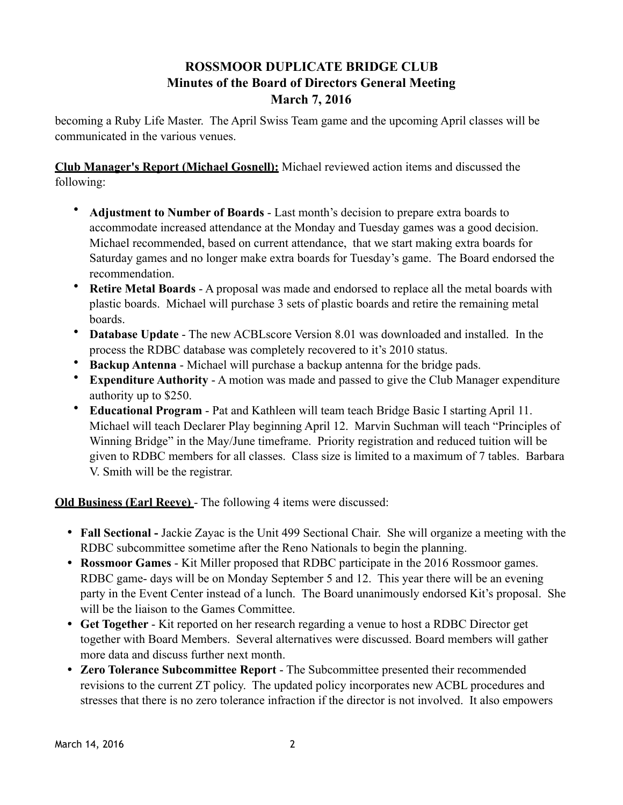## **ROSSMOOR DUPLICATE BRIDGE CLUB Minutes of the Board of Directors General Meeting March 7, 2016**

becoming a Ruby Life Master. The April Swiss Team game and the upcoming April classes will be communicated in the various venues.

**Club Manager's Report (Michael Gosnell):** Michael reviewed action items and discussed the following:

- **Adjustment to Number of Boards**  Last month's decision to prepare extra boards to accommodate increased attendance at the Monday and Tuesday games was a good decision. Michael recommended, based on current attendance, that we start making extra boards for Saturday games and no longer make extra boards for Tuesday's game. The Board endorsed the recommendation.
- **Retire Metal Boards**  A proposal was made and endorsed to replace all the metal boards with plastic boards. Michael will purchase 3 sets of plastic boards and retire the remaining metal boards.
- **Database Update** The new ACBLscore Version 8.01 was downloaded and installed. In the process the RDBC database was completely recovered to it's 2010 status.
- **Backup Antenna**  Michael will purchase a backup antenna for the bridge pads.
- **Expenditure Authority** A motion was made and passed to give the Club Manager expenditure authority up to \$250.
- **Educational Program** Pat and Kathleen will team teach Bridge Basic I starting April 11. Michael will teach Declarer Play beginning April 12. Marvin Suchman will teach "Principles of Winning Bridge" in the May/June timeframe. Priority registration and reduced tuition will be given to RDBC members for all classes. Class size is limited to a maximum of 7 tables. Barbara V. Smith will be the registrar.

**Old Business (Earl Reeve)** - The following 4 items were discussed:

- **Fall Sectional -** Jackie Zayac is the Unit 499 Sectional Chair. She will organize a meeting with the RDBC subcommittee sometime after the Reno Nationals to begin the planning.
- **Rossmoor Games**  Kit Miller proposed that RDBC participate in the 2016 Rossmoor games. RDBC game- days will be on Monday September 5 and 12. This year there will be an evening party in the Event Center instead of a lunch. The Board unanimously endorsed Kit's proposal. She will be the liaison to the Games Committee.
- **Get Together**  Kit reported on her research regarding a venue to host a RDBC Director get together with Board Members. Several alternatives were discussed. Board members will gather more data and discuss further next month.
- **Zero Tolerance Subcommittee Report** The Subcommittee presented their recommended revisions to the current ZT policy. The updated policy incorporates new ACBL procedures and stresses that there is no zero tolerance infraction if the director is not involved. It also empowers